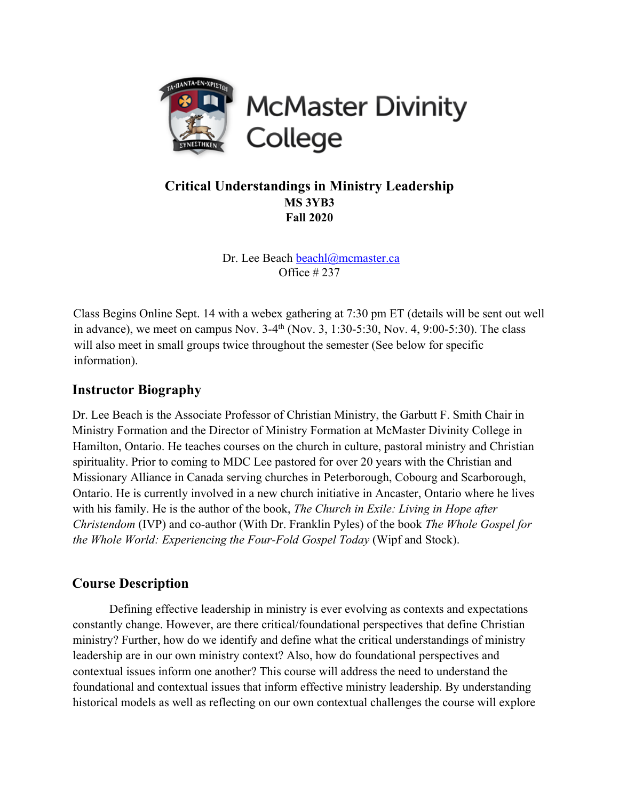

# **Critical Understandings in Ministry Leadership MS 3YB3 Fall 2020**

Dr. Lee Beach beachl@mcmaster.ca Office # 237

Class Begins Online Sept. 14 with a webex gathering at 7:30 pm ET (details will be sent out well in advance), we meet on campus Nov.  $3-4^{th}$  (Nov. 3, 1:30-5:30, Nov. 4, 9:00-5:30). The class will also meet in small groups twice throughout the semester (See below for specific information).

# **Instructor Biography**

Dr. Lee Beach is the Associate Professor of Christian Ministry, the Garbutt F. Smith Chair in Ministry Formation and the Director of Ministry Formation at McMaster Divinity College in Hamilton, Ontario. He teaches courses on the church in culture, pastoral ministry and Christian spirituality. Prior to coming to MDC Lee pastored for over 20 years with the Christian and Missionary Alliance in Canada serving churches in Peterborough, Cobourg and Scarborough, Ontario. He is currently involved in a new church initiative in Ancaster, Ontario where he lives with his family. He is the author of the book, *The Church in Exile: Living in Hope after Christendom* (IVP) and co-author (With Dr. Franklin Pyles) of the book *The Whole Gospel for the Whole World: Experiencing the Four-Fold Gospel Today* (Wipf and Stock).

# **Course Description**

Defining effective leadership in ministry is ever evolving as contexts and expectations constantly change. However, are there critical/foundational perspectives that define Christian ministry? Further, how do we identify and define what the critical understandings of ministry leadership are in our own ministry context? Also, how do foundational perspectives and contextual issues inform one another? This course will address the need to understand the foundational and contextual issues that inform effective ministry leadership. By understanding historical models as well as reflecting on our own contextual challenges the course will explore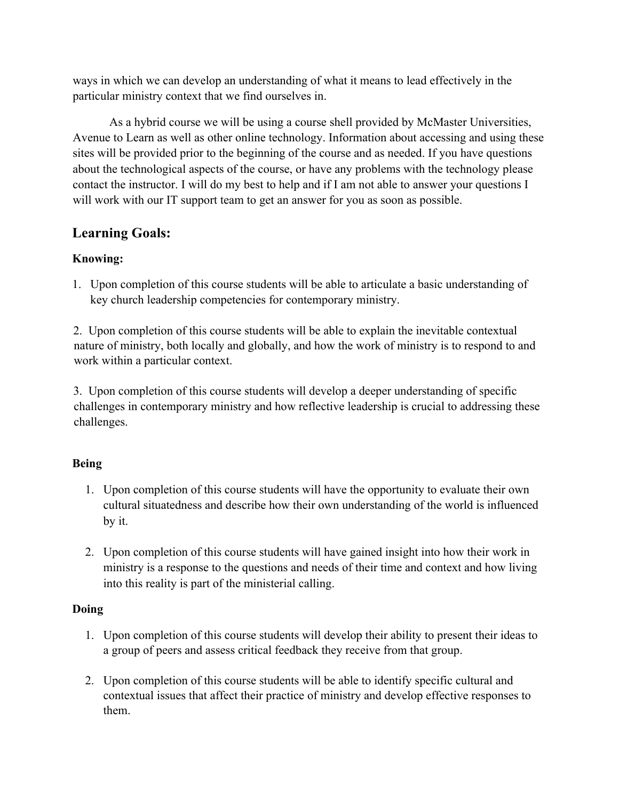ways in which we can develop an understanding of what it means to lead effectively in the particular ministry context that we find ourselves in.

As a hybrid course we will be using a course shell provided by McMaster Universities, Avenue to Learn as well as other online technology. Information about accessing and using these sites will be provided prior to the beginning of the course and as needed. If you have questions about the technological aspects of the course, or have any problems with the technology please contact the instructor. I will do my best to help and if I am not able to answer your questions I will work with our IT support team to get an answer for you as soon as possible.

# **Learning Goals:**

## **Knowing:**

1. Upon completion of this course students will be able to articulate a basic understanding of key church leadership competencies for contemporary ministry.

2. Upon completion of this course students will be able to explain the inevitable contextual nature of ministry, both locally and globally, and how the work of ministry is to respond to and work within a particular context.

3. Upon completion of this course students will develop a deeper understanding of specific challenges in contemporary ministry and how reflective leadership is crucial to addressing these challenges.

#### **Being**

- 1. Upon completion of this course students will have the opportunity to evaluate their own cultural situatedness and describe how their own understanding of the world is influenced by it.
- 2. Upon completion of this course students will have gained insight into how their work in ministry is a response to the questions and needs of their time and context and how living into this reality is part of the ministerial calling.

#### **Doing**

- 1. Upon completion of this course students will develop their ability to present their ideas to a group of peers and assess critical feedback they receive from that group.
- 2. Upon completion of this course students will be able to identify specific cultural and contextual issues that affect their practice of ministry and develop effective responses to them.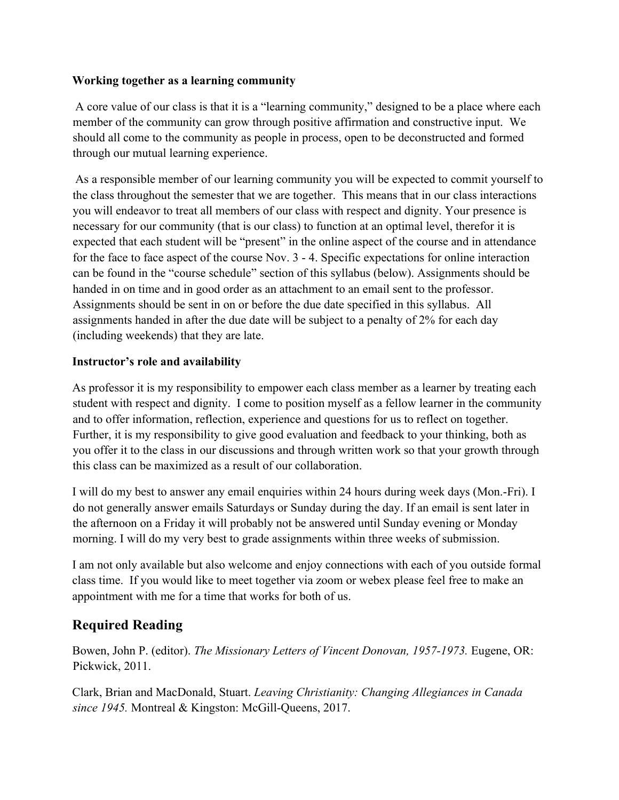#### **Working together as a learning community**

A core value of our class is that it is a "learning community," designed to be a place where each member of the community can grow through positive affirmation and constructive input. We should all come to the community as people in process, open to be deconstructed and formed through our mutual learning experience.

As a responsible member of our learning community you will be expected to commit yourself to the class throughout the semester that we are together. This means that in our class interactions you will endeavor to treat all members of our class with respect and dignity. Your presence is necessary for our community (that is our class) to function at an optimal level, therefor it is expected that each student will be "present" in the online aspect of the course and in attendance for the face to face aspect of the course Nov. 3 - 4. Specific expectations for online interaction can be found in the "course schedule" section of this syllabus (below). Assignments should be handed in on time and in good order as an attachment to an email sent to the professor. Assignments should be sent in on or before the due date specified in this syllabus. All assignments handed in after the due date will be subject to a penalty of 2% for each day (including weekends) that they are late.

#### **Instructor's role and availability**

As professor it is my responsibility to empower each class member as a learner by treating each student with respect and dignity. I come to position myself as a fellow learner in the community and to offer information, reflection, experience and questions for us to reflect on together. Further, it is my responsibility to give good evaluation and feedback to your thinking, both as you offer it to the class in our discussions and through written work so that your growth through this class can be maximized as a result of our collaboration.

I will do my best to answer any email enquiries within 24 hours during week days (Mon.-Fri). I do not generally answer emails Saturdays or Sunday during the day. If an email is sent later in the afternoon on a Friday it will probably not be answered until Sunday evening or Monday morning. I will do my very best to grade assignments within three weeks of submission.

I am not only available but also welcome and enjoy connections with each of you outside formal class time. If you would like to meet together via zoom or webex please feel free to make an appointment with me for a time that works for both of us.

# **Required Reading**

Bowen, John P. (editor). *The Missionary Letters of Vincent Donovan, 1957-1973.* Eugene, OR: Pickwick, 2011.

Clark, Brian and MacDonald, Stuart. *Leaving Christianity: Changing Allegiances in Canada since 1945.* Montreal & Kingston: McGill-Queens, 2017.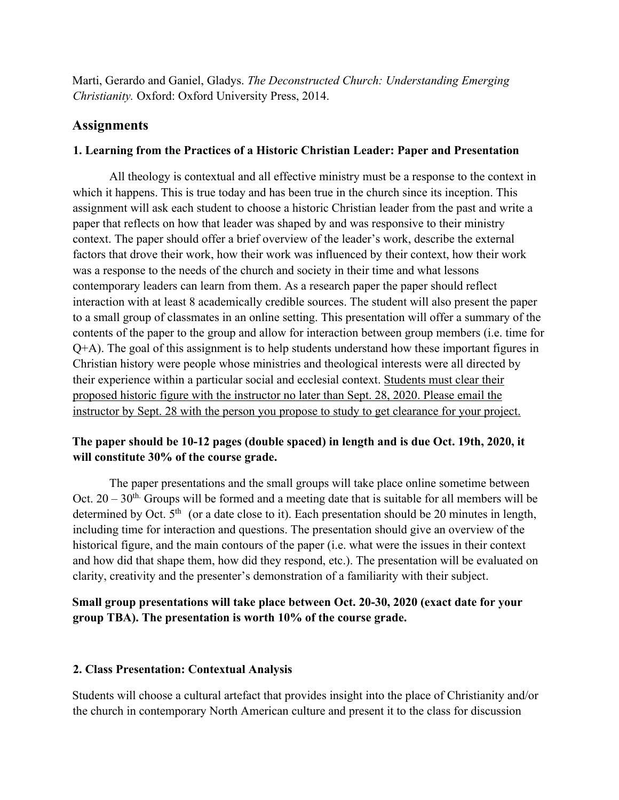Marti, Gerardo and Ganiel, Gladys. *The Deconstructed Church: Understanding Emerging Christianity.* Oxford: Oxford University Press, 2014.

## **Assignments**

#### **1. Learning from the Practices of a Historic Christian Leader: Paper and Presentation**

All theology is contextual and all effective ministry must be a response to the context in which it happens. This is true today and has been true in the church since its inception. This assignment will ask each student to choose a historic Christian leader from the past and write a paper that reflects on how that leader was shaped by and was responsive to their ministry context. The paper should offer a brief overview of the leader's work, describe the external factors that drove their work, how their work was influenced by their context, how their work was a response to the needs of the church and society in their time and what lessons contemporary leaders can learn from them. As a research paper the paper should reflect interaction with at least 8 academically credible sources. The student will also present the paper to a small group of classmates in an online setting. This presentation will offer a summary of the contents of the paper to the group and allow for interaction between group members (i.e. time for Q+A). The goal of this assignment is to help students understand how these important figures in Christian history were people whose ministries and theological interests were all directed by their experience within a particular social and ecclesial context. Students must clear their proposed historic figure with the instructor no later than Sept. 28, 2020. Please email the instructor by Sept. 28 with the person you propose to study to get clearance for your project.

## **The paper should be 10-12 pages (double spaced) in length and is due Oct. 19th, 2020, it will constitute 30% of the course grade.**

The paper presentations and the small groups will take place online sometime between Oct.  $20 - 30<sup>th</sup>$  Groups will be formed and a meeting date that is suitable for all members will be determined by Oct.  $5<sup>th</sup>$  (or a date close to it). Each presentation should be 20 minutes in length, including time for interaction and questions. The presentation should give an overview of the historical figure, and the main contours of the paper (i.e. what were the issues in their context and how did that shape them, how did they respond, etc.). The presentation will be evaluated on clarity, creativity and the presenter's demonstration of a familiarity with their subject.

**Small group presentations will take place between Oct. 20-30, 2020 (exact date for your group TBA). The presentation is worth 10% of the course grade.** 

## **2. Class Presentation: Contextual Analysis**

Students will choose a cultural artefact that provides insight into the place of Christianity and/or the church in contemporary North American culture and present it to the class for discussion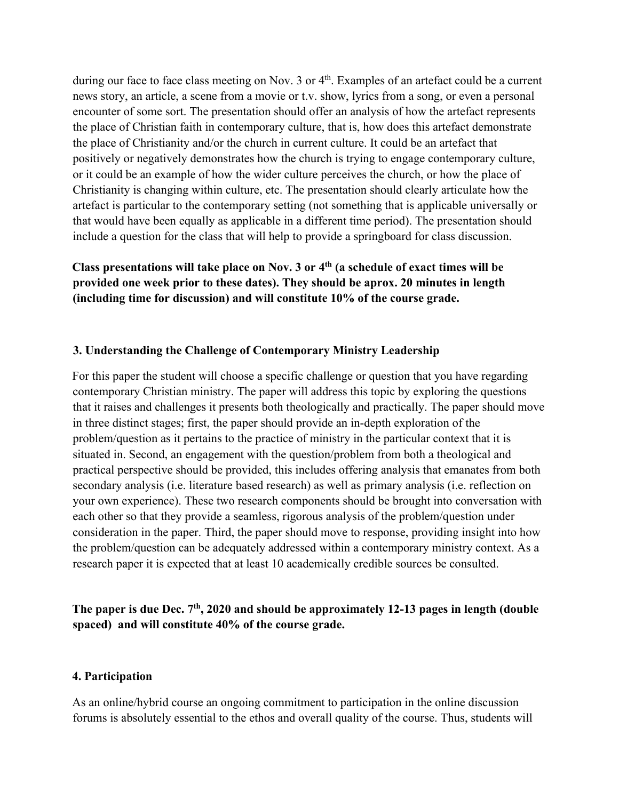during our face to face class meeting on Nov. 3 or 4<sup>th</sup>. Examples of an artefact could be a current news story, an article, a scene from a movie or t.v. show, lyrics from a song, or even a personal encounter of some sort. The presentation should offer an analysis of how the artefact represents the place of Christian faith in contemporary culture, that is, how does this artefact demonstrate the place of Christianity and/or the church in current culture. It could be an artefact that positively or negatively demonstrates how the church is trying to engage contemporary culture, or it could be an example of how the wider culture perceives the church, or how the place of Christianity is changing within culture, etc. The presentation should clearly articulate how the artefact is particular to the contemporary setting (not something that is applicable universally or that would have been equally as applicable in a different time period). The presentation should include a question for the class that will help to provide a springboard for class discussion.

**Class presentations will take place on Nov. 3 or 4th (a schedule of exact times will be provided one week prior to these dates). They should be aprox. 20 minutes in length (including time for discussion) and will constitute 10% of the course grade.** 

#### **3. Understanding the Challenge of Contemporary Ministry Leadership**

For this paper the student will choose a specific challenge or question that you have regarding contemporary Christian ministry. The paper will address this topic by exploring the questions that it raises and challenges it presents both theologically and practically. The paper should move in three distinct stages; first, the paper should provide an in-depth exploration of the problem/question as it pertains to the practice of ministry in the particular context that it is situated in. Second, an engagement with the question/problem from both a theological and practical perspective should be provided, this includes offering analysis that emanates from both secondary analysis (i.e. literature based research) as well as primary analysis (i.e. reflection on your own experience). These two research components should be brought into conversation with each other so that they provide a seamless, rigorous analysis of the problem/question under consideration in the paper. Third, the paper should move to response, providing insight into how the problem/question can be adequately addressed within a contemporary ministry context. As a research paper it is expected that at least 10 academically credible sources be consulted.

## **The paper is due Dec. 7th, 2020 and should be approximately 12-13 pages in length (double spaced) and will constitute 40% of the course grade.**

#### **4. Participation**

As an online/hybrid course an ongoing commitment to participation in the online discussion forums is absolutely essential to the ethos and overall quality of the course. Thus, students will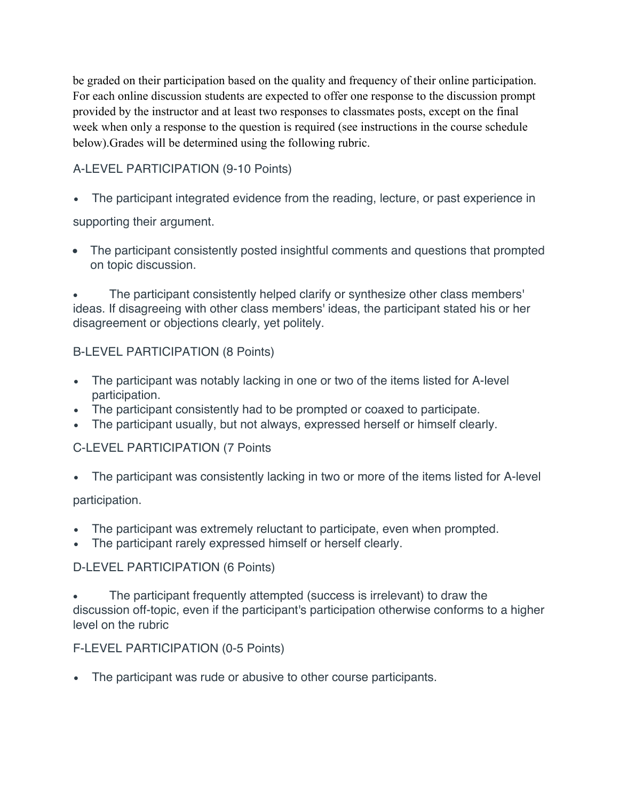be graded on their participation based on the quality and frequency of their online participation. For each online discussion students are expected to offer one response to the discussion prompt provided by the instructor and at least two responses to classmates posts, except on the final week when only a response to the question is required (see instructions in the course schedule below).Grades will be determined using the following rubric.

# A-LEVEL PARTICIPATION (9-10 Points)

• The participant integrated evidence from the reading, lecture, or past experience in

supporting their argument.

• The participant consistently posted insightful comments and questions that prompted on topic discussion.

• The participant consistently helped clarify or synthesize other class members' ideas. If disagreeing with other class members' ideas, the participant stated his or her disagreement or objections clearly, yet politely.

## B-LEVEL PARTICIPATION (8 Points)

- The participant was notably lacking in one or two of the items listed for A-level participation.
- The participant consistently had to be prompted or coaxed to participate.
- The participant usually, but not always, expressed herself or himself clearly.

# C-LEVEL PARTICIPATION (7 Points

• The participant was consistently lacking in two or more of the items listed for A-level

participation.

- The participant was extremely reluctant to participate, even when prompted.
- The participant rarely expressed himself or herself clearly.

# D-LEVEL PARTICIPATION (6 Points)

The participant frequently attempted (success is irrelevant) to draw the discussion off-topic, even if the participant's participation otherwise conforms to a higher level on the rubric

# F-LEVEL PARTICIPATION (0-5 Points)

• The participant was rude or abusive to other course participants.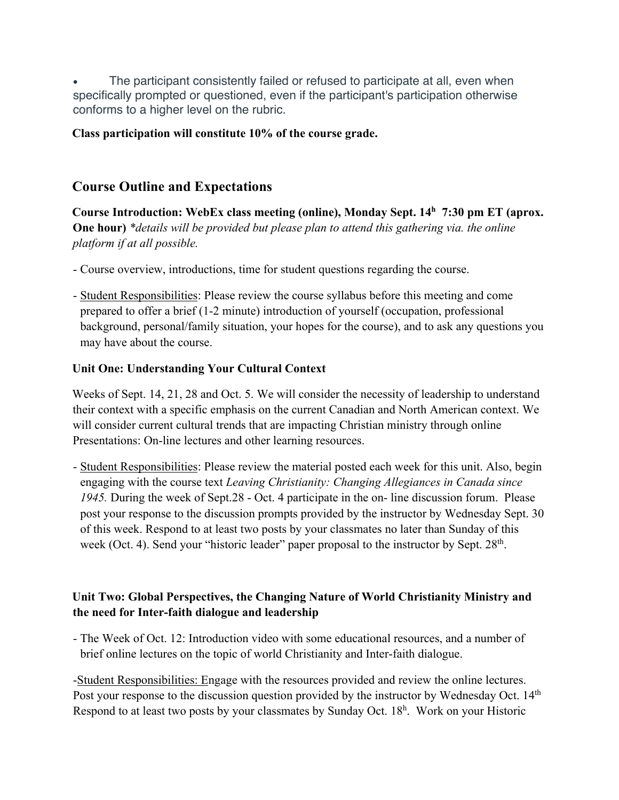The participant consistently failed or refused to participate at all, even when specifically prompted or questioned, even if the participant's participation otherwise conforms to a higher level on the rubric.

## **Class participation will constitute 10% of the course grade.**

# **Course Outline and Expectations**

**Course Introduction: WebEx class meeting (online), Monday Sept. 14h 7:30 pm ET (aprox. One hour)** *\*details will be provided but please plan to attend this gathering via. the online platform if at all possible.*

- Course overview, introductions, time for student questions regarding the course.
- Student Responsibilities: Please review the course syllabus before this meeting and come prepared to offer a brief (1-2 minute) introduction of yourself (occupation, professional background, personal/family situation, your hopes for the course), and to ask any questions you may have about the course.

### **Unit One: Understanding Your Cultural Context**

Weeks of Sept. 14, 21, 28 and Oct. 5. We will consider the necessity of leadership to understand their context with a specific emphasis on the current Canadian and North American context. We will consider current cultural trends that are impacting Christian ministry through online Presentations: On-line lectures and other learning resources.

- Student Responsibilities: Please review the material posted each week for this unit. Also, begin engaging with the course text *Leaving Christianity: Changing Allegiances in Canada since 1945.* During the week of Sept.28 - Oct. 4 participate in the on- line discussion forum. Please post your response to the discussion prompts provided by the instructor by Wednesday Sept. 30 of this week. Respond to at least two posts by your classmates no later than Sunday of this week (Oct. 4). Send your "historic leader" paper proposal to the instructor by Sept. 28<sup>th</sup>.

## **Unit Two: Global Perspectives, the Changing Nature of World Christianity Ministry and the need for Inter-faith dialogue and leadership**

- The Week of Oct. 12: Introduction video with some educational resources, and a number of brief online lectures on the topic of world Christianity and Inter-faith dialogue.

-Student Responsibilities: Engage with the resources provided and review the online lectures. Post your response to the discussion question provided by the instructor by Wednesday Oct. 14<sup>th</sup> Respond to at least two posts by your classmates by Sunday Oct. 18<sup>h</sup>. Work on your Historic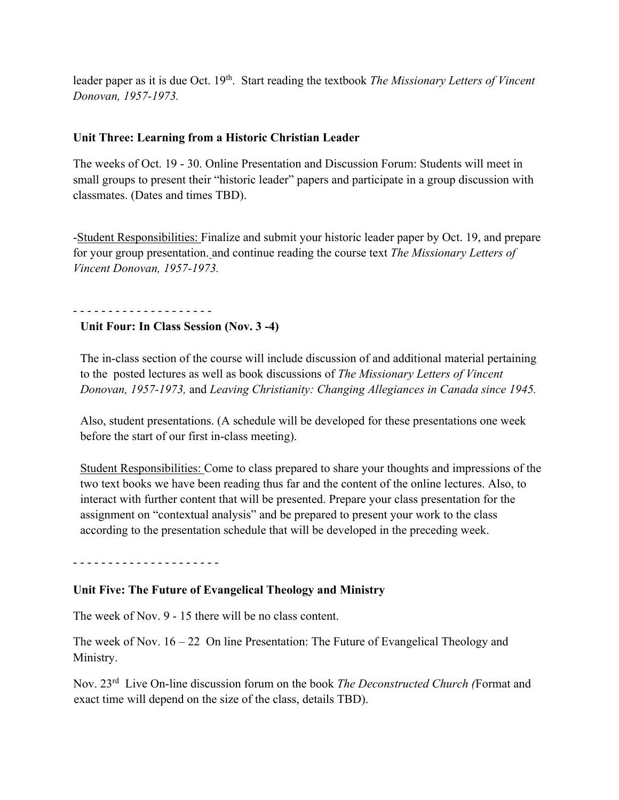leader paper as it is due Oct. 19<sup>th</sup>. Start reading the textbook *The Missionary Letters of Vincent Donovan, 1957-1973.* 

### **Unit Three: Learning from a Historic Christian Leader**

The weeks of Oct. 19 - 30. Online Presentation and Discussion Forum: Students will meet in small groups to present their "historic leader" papers and participate in a group discussion with classmates. (Dates and times TBD).

-Student Responsibilities: Finalize and submit your historic leader paper by Oct. 19, and prepare for your group presentation. and continue reading the course text *The Missionary Letters of Vincent Donovan, 1957-1973.*

#### - - - - - - - - - - - - - - - - - - - -

#### **Unit Four: In Class Session (Nov. 3 -4)**

The in-class section of the course will include discussion of and additional material pertaining to the posted lectures as well as book discussions of *The Missionary Letters of Vincent Donovan, 1957-1973,* and *Leaving Christianity: Changing Allegiances in Canada since 1945.* 

Also, student presentations. (A schedule will be developed for these presentations one week before the start of our first in-class meeting).

Student Responsibilities: Come to class prepared to share your thoughts and impressions of the two text books we have been reading thus far and the content of the online lectures. Also, to interact with further content that will be presented. Prepare your class presentation for the assignment on "contextual analysis" and be prepared to present your work to the class according to the presentation schedule that will be developed in the preceding week.

- - - - - - - - - - - - - - - - - - - - -

#### **Unit Five: The Future of Evangelical Theology and Ministry**

The week of Nov. 9 - 15 there will be no class content.

The week of Nov.  $16 - 22$  On line Presentation: The Future of Evangelical Theology and Ministry.

Nov. 23rd Live On-line discussion forum on the book *The Deconstructed Church (*Format and exact time will depend on the size of the class, details TBD).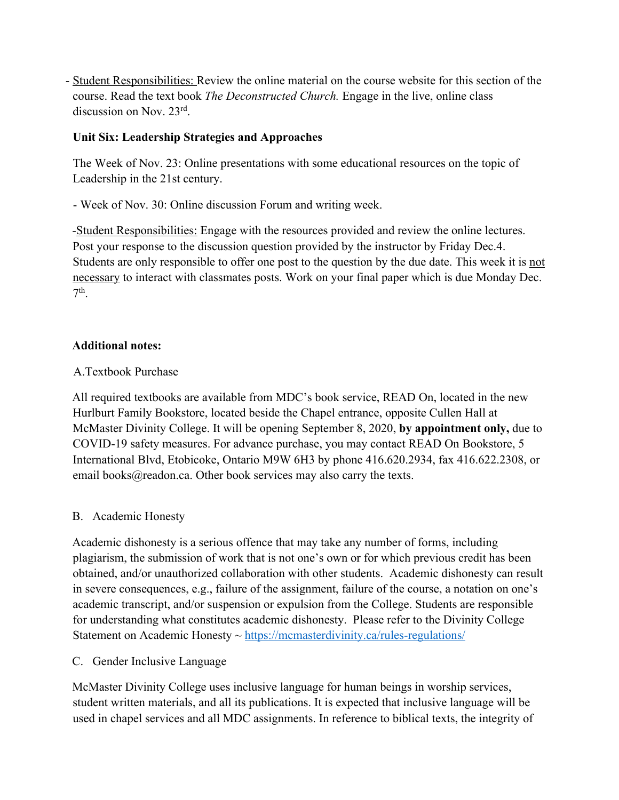- Student Responsibilities: Review the online material on the course website for this section of the course. Read the text book *The Deconstructed Church.* Engage in the live, online class discussion on Nov. 23rd.

### **Unit Six: Leadership Strategies and Approaches**

The Week of Nov. 23: Online presentations with some educational resources on the topic of Leadership in the 21st century.

- Week of Nov. 30: Online discussion Forum and writing week.

-Student Responsibilities: Engage with the resources provided and review the online lectures. Post your response to the discussion question provided by the instructor by Friday Dec.4. Students are only responsible to offer one post to the question by the due date. This week it is not necessary to interact with classmates posts. Work on your final paper which is due Monday Dec.  $7<sup>th</sup>$ 

#### **Additional notes:**

### A.Textbook Purchase

All required textbooks are available from MDC's book service, READ On, located in the new Hurlburt Family Bookstore, located beside the Chapel entrance, opposite Cullen Hall at McMaster Divinity College. It will be opening September 8, 2020, **by appointment only,** due to COVID-19 safety measures. For advance purchase, you may contact READ On Bookstore, 5 International Blvd, Etobicoke, Ontario M9W 6H3 by phone 416.620.2934, fax 416.622.2308, or email books@readon.ca. Other book services may also carry the texts.

## B. Academic Honesty

Academic dishonesty is a serious offence that may take any number of forms, including plagiarism, the submission of work that is not one's own or for which previous credit has been obtained, and/or unauthorized collaboration with other students. Academic dishonesty can result in severe consequences, e.g., failure of the assignment, failure of the course, a notation on one's academic transcript, and/or suspension or expulsion from the College. Students are responsible for understanding what constitutes academic dishonesty. Please refer to the Divinity College Statement on Academic Honesty  $\sim$  https://mcmasterdivinity.ca/rules-regulations/

C. Gender Inclusive Language

McMaster Divinity College uses inclusive language for human beings in worship services, student written materials, and all its publications. It is expected that inclusive language will be used in chapel services and all MDC assignments. In reference to biblical texts, the integrity of